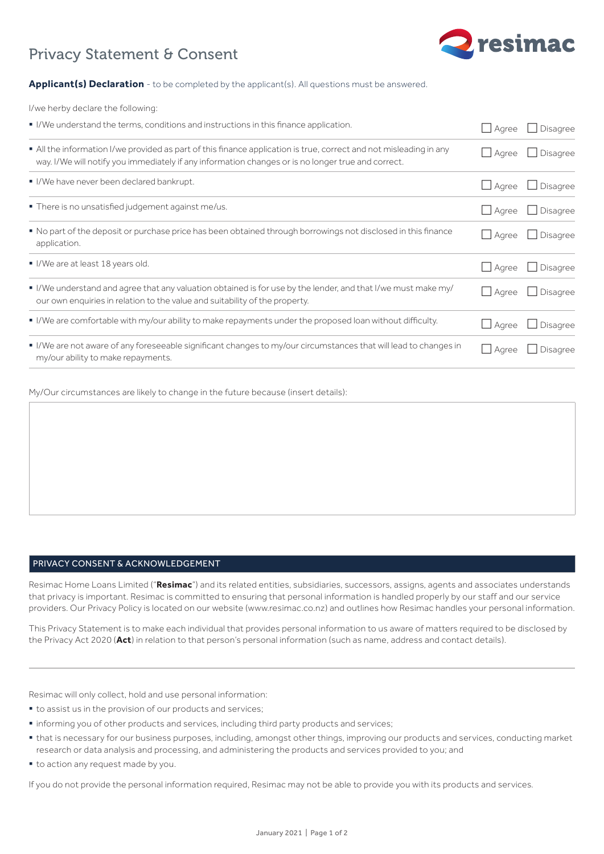

# Privacy Statement & Consent

## **Applicant(s) Declaration** - to be completed by the applicant(s). All questions must be answered.

I/we herby declare the following:

| I/We understand the terms, conditions and instructions in this finance application.                                                                                                                                    | Aqree        | Disagree        |
|------------------------------------------------------------------------------------------------------------------------------------------------------------------------------------------------------------------------|--------------|-----------------|
| All the information I/we provided as part of this finance application is true, correct and not misleading in any<br>way. I/We will notify you immediately if any information changes or is no longer true and correct. | $\Box$ Agree | Disagree        |
| I/We have never been declared bankrupt.                                                                                                                                                                                | Agree        | <b>Disagree</b> |
| . There is no unsatisfied judgement against me/us.                                                                                                                                                                     | $\Box$ Agree | Disagree        |
| • No part of the deposit or purchase price has been obtained through borrowings not disclosed in this finance<br>application.                                                                                          | Agree        | <b>Disagree</b> |
| I/We are at least 18 years old.                                                                                                                                                                                        | Aqree        | <b>Disagree</b> |
| I live understand and agree that any valuation obtained is for use by the lender, and that I/we must make my/<br>our own enquiries in relation to the value and suitability of the property.                           | $\Box$ Agree | $\Box$ Disagree |
| I/We are comfortable with my/our ability to make repayments under the proposed loan without difficulty.                                                                                                                | $\Box$ Agree | Disagree        |
| I/We are not aware of any foreseeable significant changes to my/our circumstances that will lead to changes in<br>my/our ability to make repayments.                                                                   | Aqree        | <b>Disagree</b> |

My/Our circumstances are likely to change in the future because (insert details):

# PRIVACY CONSENT & ACKNOWLEDGEMENT

Resimac Home Loans Limited ("**Resimac**") and its related entities, subsidiaries, successors, assigns, agents and associates understands that privacy is important. Resimac is committed to ensuring that personal information is handled properly by our staff and our service providers. Our Privacy Policy is located on our website (www.resimac.co.nz) and outlines how Resimac handles your personal information.

This Privacy Statement is to make each individual that provides personal information to us aware of matters required to be disclosed by the Privacy Act 2020 (**Act**) in relation to that person's personal information (such as name, address and contact details).

Resimac will only collect, hold and use personal information:

- to assist us in the provision of our products and services;
- § informing you of other products and services, including third party products and services;
- § that is necessary for our business purposes, including, amongst other things, improving our products and services, conducting market research or data analysis and processing, and administering the products and services provided to you; and
- $\bullet$  to action any request made by you.

If you do not provide the personal information required, Resimac may not be able to provide you with its products and services.